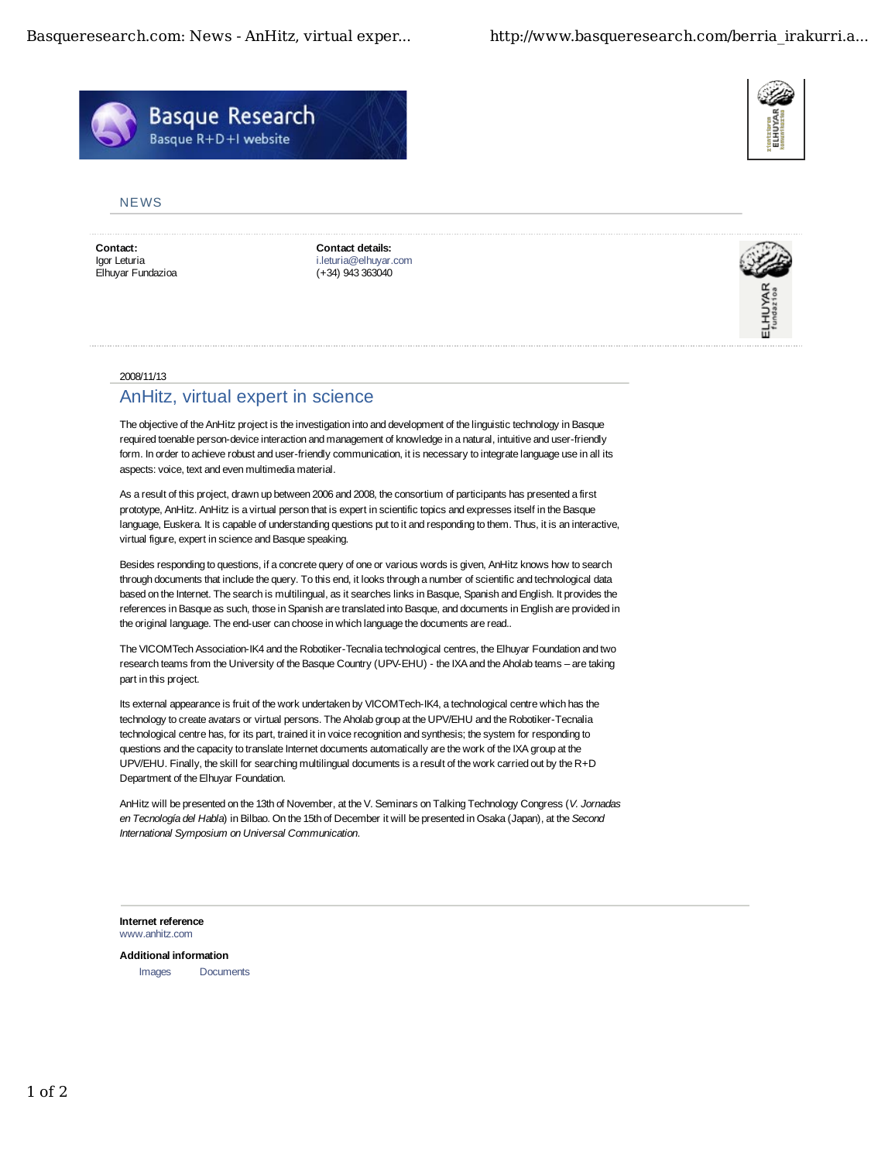Basqueresearch.com: News - AnHitz, virtual exper... http://www.basqueresearch.com/berria\_irakurri.a...



## **NFWS**

**Contact:** Igor Leturia Elhuyar Fundazioa **Contact details:** i.leturia@elhuyar.com (+34) 943 363040



## 2008/11/13

## AnHitz, virtual expert in science

The objective of the AnHitz project is the investigation into and development of the linguistic technology in Basque required toenable person-device interaction and management of knowledge in a natural, intuitive and user-friendly form. In order to achieve robust and user-friendly communication, it is necessary to integrate language use in all its aspects: voice, text and even multimedia material.

As a result of this project, drawn up between 2006 and 2008, the consortium of participants has presented a first prototype, AnHitz. AnHitz is a virtual person that is expert in scientific topics and expresses itself in the Basque language, Euskera. It is capable of understanding questions put to it and responding to them. Thus, it is an interactive, virtual figure, expert in science and Basque speaking.

Besides responding to questions, if a concrete query of one or various words is given, AnHitz knows how to search through documents that include the query. To this end, it looks through a number of scientific and technological data based on the Internet. The search is multilingual, as it searches links in Basque, Spanish and English. It provides the references in Basque as such, those in Spanish are translated into Basque, and documents in English are provided in the original language. The end-user can choose in which language the documents are read..

The VICOMTech Association-IK4 and the Robotiker-Tecnalia technological centres, the Elhuyar Foundation and two research teams from the University of the Basque Country (UPV-EHU) - the IXA and the Aholab teams – are taking part in this project.

Its external appearance is fruit of the work undertaken by VICOMTech-IK4, a technological centre which has the technology to create avatars or virtual persons. The Aholab group at the UPV/EHU and the Robotiker-Tecnalia technological centre has, for its part, trained it in voice recognition and synthesis; the system for responding to questions and the capacity to translate Internet documents automatically are the work of the IXA group at the UPV/EHU. Finally, the skill for searching multilingual documents is a result of the work carried out by the R+D Department of the Elhuyar Foundation.

AnHitz will be presented on the 13th of November, at the V. Seminars on Talking Technology Congress (*V. Jornadas en Tecnología del Habla*) in Bilbao. On the 15th of December it will be presented in Osaka (Japan), at the *Second International Symposium on Universal Communication*.

**Internet reference** www.anhitz.com

**Additional information** Images Documents